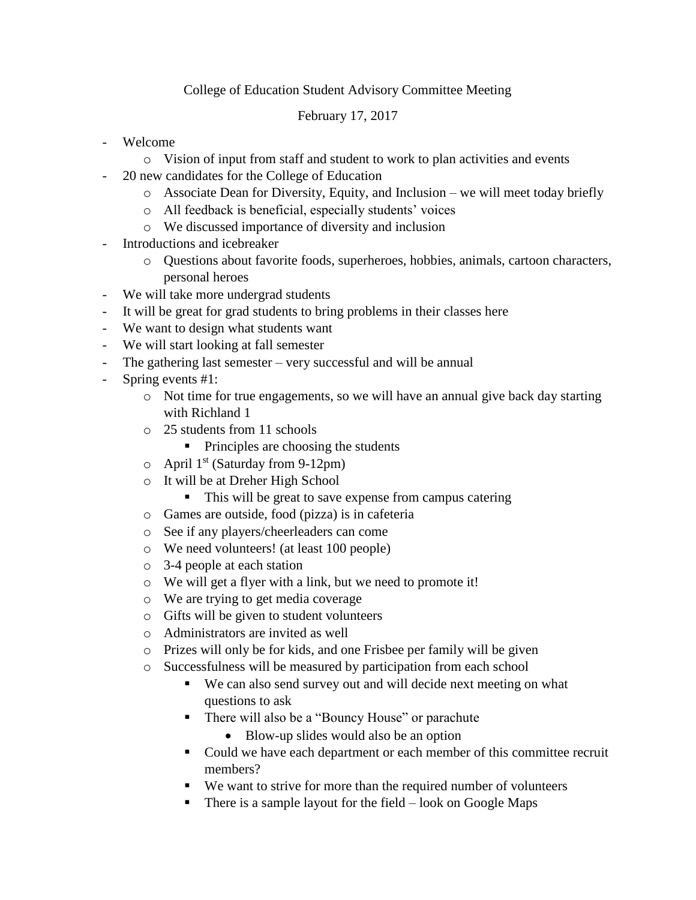## College of Education Student Advisory Committee Meeting

February 17, 2017

- Welcome
	- o Vision of input from staff and student to work to plan activities and events
- 20 new candidates for the College of Education
	- o Associate Dean for Diversity, Equity, and Inclusion we will meet today briefly
	- o All feedback is beneficial, especially students' voices
	- o We discussed importance of diversity and inclusion
- Introductions and icebreaker
	- o Questions about favorite foods, superheroes, hobbies, animals, cartoon characters, personal heroes
- We will take more undergrad students
- It will be great for grad students to bring problems in their classes here
- We want to design what students want
- We will start looking at fall semester
- The gathering last semester very successful and will be annual
- Spring events #1:
	- o Not time for true engagements, so we will have an annual give back day starting with Richland 1
	- o 25 students from 11 schools
		- Principles are choosing the students
	- $\circ$  April 1<sup>st</sup> (Saturday from 9-12pm)
	- o It will be at Dreher High School
		- This will be great to save expense from campus catering
	- o Games are outside, food (pizza) is in cafeteria
	- o See if any players/cheerleaders can come
	- o We need volunteers! (at least 100 people)
	- o 3-4 people at each station
	- o We will get a flyer with a link, but we need to promote it!
	- o We are trying to get media coverage
	- o Gifts will be given to student volunteers
	- o Administrators are invited as well
	- o Prizes will only be for kids, and one Frisbee per family will be given
	- o Successfulness will be measured by participation from each school
		- We can also send survey out and will decide next meeting on what questions to ask
		- There will also be a "Bouncy House" or parachute
			- Blow-up slides would also be an option
		- Could we have each department or each member of this committee recruit members?
		- We want to strive for more than the required number of volunteers
		- There is a sample layout for the field  $-$  look on Google Maps